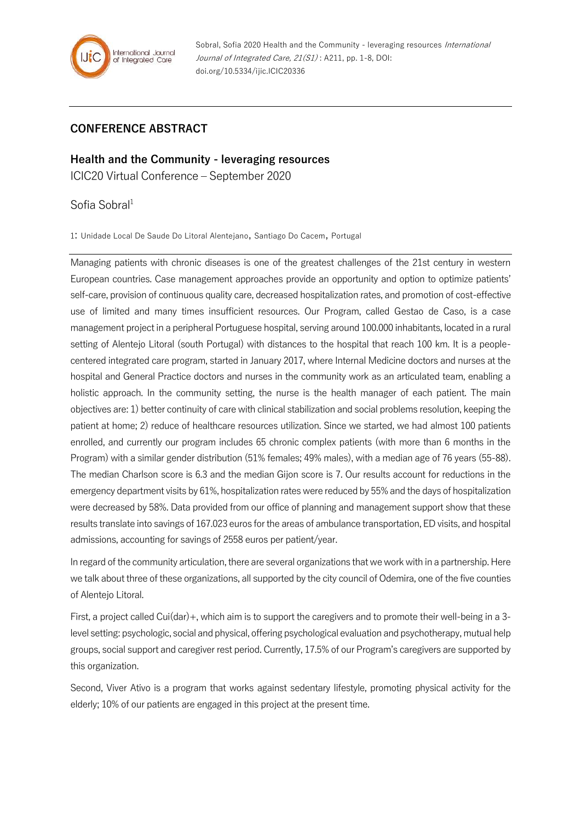

## **CONFERENCE ABSTRACT**

**Health and the Community - leveraging resources** ICIC20 Virtual Conference – September 2020

Sofia Sobral<sup>1</sup>

1: Unidade Local De Saude Do Litoral Alentejano, Santiago Do Cacem, Portugal

Managing patients with chronic diseases is one of the greatest challenges of the 21st century in western European countries. Case management approaches provide an opportunity and option to optimize patients' self-care, provision of continuous quality care, decreased hospitalization rates, and promotion of cost-effective use of limited and many times insufficient resources. Our Program, called Gestao de Caso, is a case management project in a peripheral Portuguese hospital, serving around 100.000 inhabitants, located in a rural setting of Alentejo Litoral (south Portugal) with distances to the hospital that reach 100 km. It is a peoplecentered integrated care program, started in January 2017, where Internal Medicine doctors and nurses at the hospital and General Practice doctors and nurses in the community work as an articulated team, enabling a holistic approach. In the community setting, the nurse is the health manager of each patient. The main objectives are: 1) better continuity of care with clinical stabilization and social problems resolution, keeping the patient at home; 2) reduce of healthcare resources utilization. Since we started, we had almost 100 patients enrolled, and currently our program includes 65 chronic complex patients (with more than 6 months in the Program) with a similar gender distribution (51% females; 49% males), with a median age of 76 years (55-88). The median Charlson score is 6.3 and the median Gijon score is 7. Our results account for reductions in the emergency department visits by 61%, hospitalization rates were reduced by 55% and the days of hospitalization were decreased by 58%. Data provided from our office of planning and management support show that these results translate into savings of 167.023 euros for the areas of ambulance transportation, ED visits, and hospital admissions, accounting for savings of 2558 euros per patient/year.

In regard of the community articulation, there are several organizations that we work with in a partnership. Here we talk about three of these organizations, all supported by the city council of Odemira, one of the five counties of Alenteio Litoral.

First, a project called Cui(dar)+, which aim is to support the caregivers and to promote their well-being in a 3level setting: psychologic, social and physical, offering psychological evaluation and psychotherapy, mutual help groups, social support and caregiver rest period. Currently, 17.5% of our Program's caregivers are supported by this organization.

Second, Viver Ativo is a program that works against sedentary lifestyle, promoting physical activity for the elderly; 10% of our patients are engaged in this project at the present time.